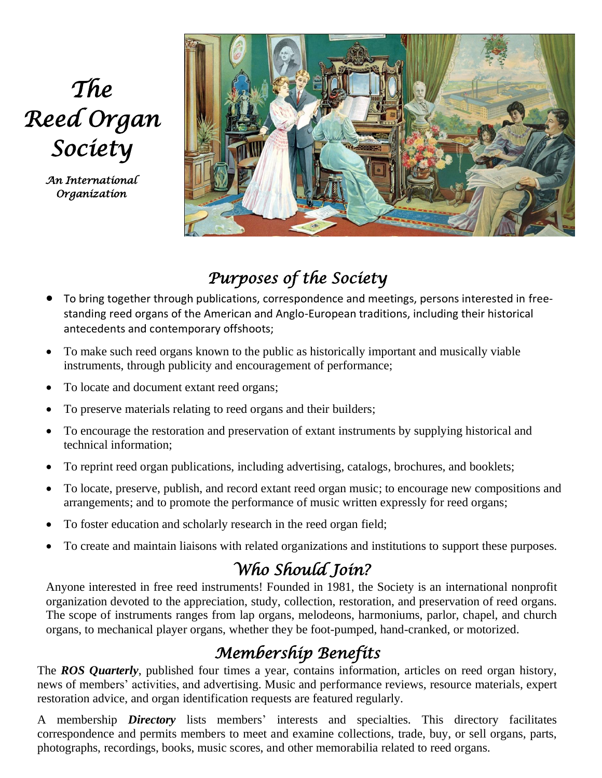# *The Reed Organ Society*

*An International Organization* 



### *Purposes of the Society*

- To bring together through publications, correspondence and meetings, persons interested in freestanding reed organs of the American and Anglo-European traditions, including their historical antecedents and contemporary offshoots;
- To make such reed organs known to the public as historically important and musically viable instruments, through publicity and encouragement of performance;
- To locate and document extant reed organs;
- To preserve materials relating to reed organs and their builders;
- To encourage the restoration and preservation of extant instruments by supplying historical and technical information;
- To reprint reed organ publications, including advertising, catalogs, brochures, and booklets;
- To locate, preserve, publish, and record extant reed organ music; to encourage new compositions and arrangements; and to promote the performance of music written expressly for reed organs;
- To foster education and scholarly research in the reed organ field;
- To create and maintain liaisons with related organizations and institutions to support these purposes.

## *Who Should Join?*

Anyone interested in free reed instruments! Founded in 1981, the Society is an international nonprofit organization devoted to the appreciation, study, collection, restoration, and preservation of reed organs. The scope of instruments ranges from lap organs, melodeons, harmoniums, parlor, chapel, and church organs, to mechanical player organs, whether they be foot-pumped, hand-cranked, or motorized.

#### *Membership Benefits*

The *ROS Quarterly*, published four times a year, contains information, articles on reed organ history, news of members' activities, and advertising. Music and performance reviews, resource materials, expert restoration advice, and organ identification requests are featured regularly.

A membership *Directory* lists members' interests and specialties. This directory facilitates correspondence and permits members to meet and examine collections, trade, buy, or sell organs, parts, photographs, recordings, books, music scores, and other memorabilia related to reed organs.